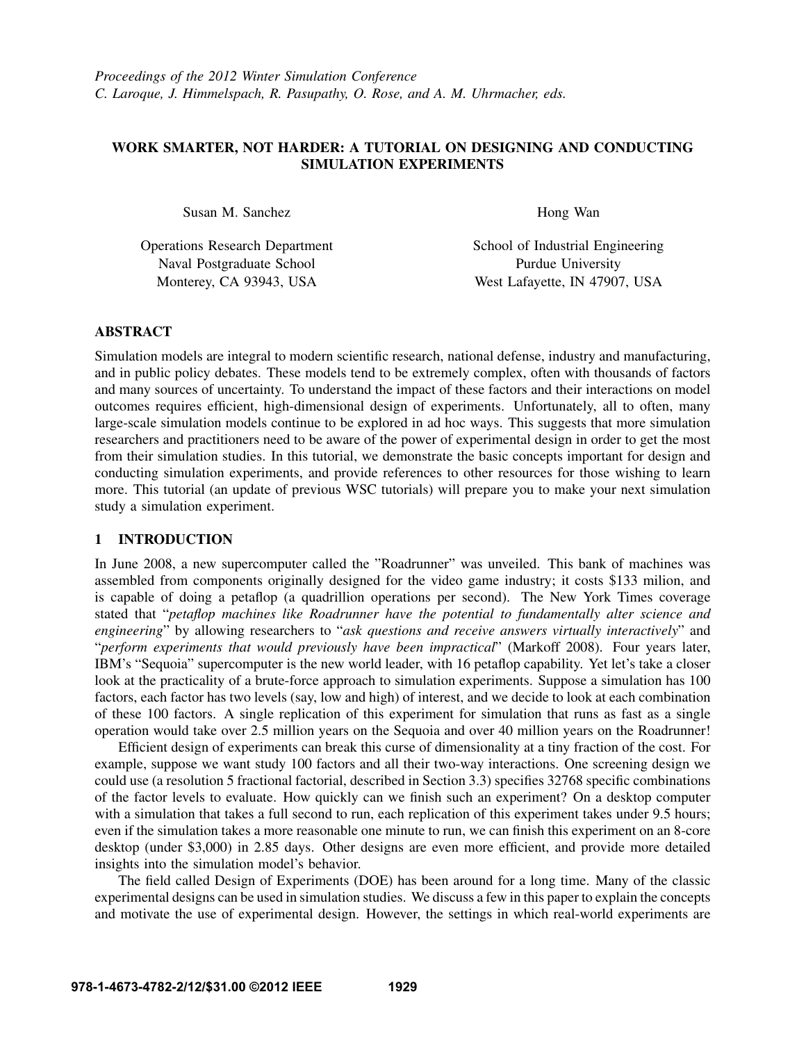# WORK SMARTER, NOT HARDER: A TUTORIAL ON DESIGNING AND CONDUCTING SIMULATION EXPERIMENTS

Susan M. Sanchez

Operations Research Department Naval Postgraduate School Monterey, CA 93943, USA

Hong Wan

School of Industrial Engineering Purdue University West Lafayette, IN 47907, USA

# ABSTRACT

Simulation models are integral to modern scientific research, national defense, industry and manufacturing, and in public policy debates. These models tend to be extremely complex, often with thousands of factors and many sources of uncertainty. To understand the impact of these factors and their interactions on model outcomes requires efficient, high-dimensional design of experiments. Unfortunately, all to often, many large-scale simulation models continue to be explored in ad hoc ways. This suggests that more simulation researchers and practitioners need to be aware of the power of experimental design in order to get the most from their simulation studies. In this tutorial, we demonstrate the basic concepts important for design and conducting simulation experiments, and provide references to other resources for those wishing to learn more. This tutorial (an update of previous WSC tutorials) will prepare you to make your next simulation study a simulation experiment.

# 1 INTRODUCTION

In June 2008, a new supercomputer called the "Roadrunner" was unveiled. This bank of machines was assembled from components originally designed for the video game industry; it costs \$133 milion, and is capable of doing a petaflop (a quadrillion operations per second). The New York Times coverage stated that "*petaflop machines like Roadrunner have the potential to fundamentally alter science and engineering*" by allowing researchers to "*ask questions and receive answers virtually interactively*" and "*perform experiments that would previously have been impractical*" (Markoff 2008). Four years later, IBM's "Sequoia" supercomputer is the new world leader, with 16 petaflop capability. Yet let's take a closer look at the practicality of a brute-force approach to simulation experiments. Suppose a simulation has 100 factors, each factor has two levels (say, low and high) of interest, and we decide to look at each combination of these 100 factors. A single replication of this experiment for simulation that runs as fast as a single operation would take over 2.5 million years on the Sequoia and over 40 million years on the Roadrunner!

Efficient design of experiments can break this curse of dimensionality at a tiny fraction of the cost. For example, suppose we want study 100 factors and all their two-way interactions. One screening design we could use (a resolution 5 fractional factorial, described in Section 3.3) specifies 32768 specific combinations of the factor levels to evaluate. How quickly can we finish such an experiment? On a desktop computer with a simulation that takes a full second to run, each replication of this experiment takes under 9.5 hours; even if the simulation takes a more reasonable one minute to run, we can finish this experiment on an 8-core desktop (under \$3,000) in 2.85 days. Other designs are even more efficient, and provide more detailed insights into the simulation model's behavior.

The field called Design of Experiments (DOE) has been around for a long time. Many of the classic experimental designs can be used in simulation studies. We discuss a few in this paper to explain the concepts and motivate the use of experimental design. However, the settings in which real-world experiments are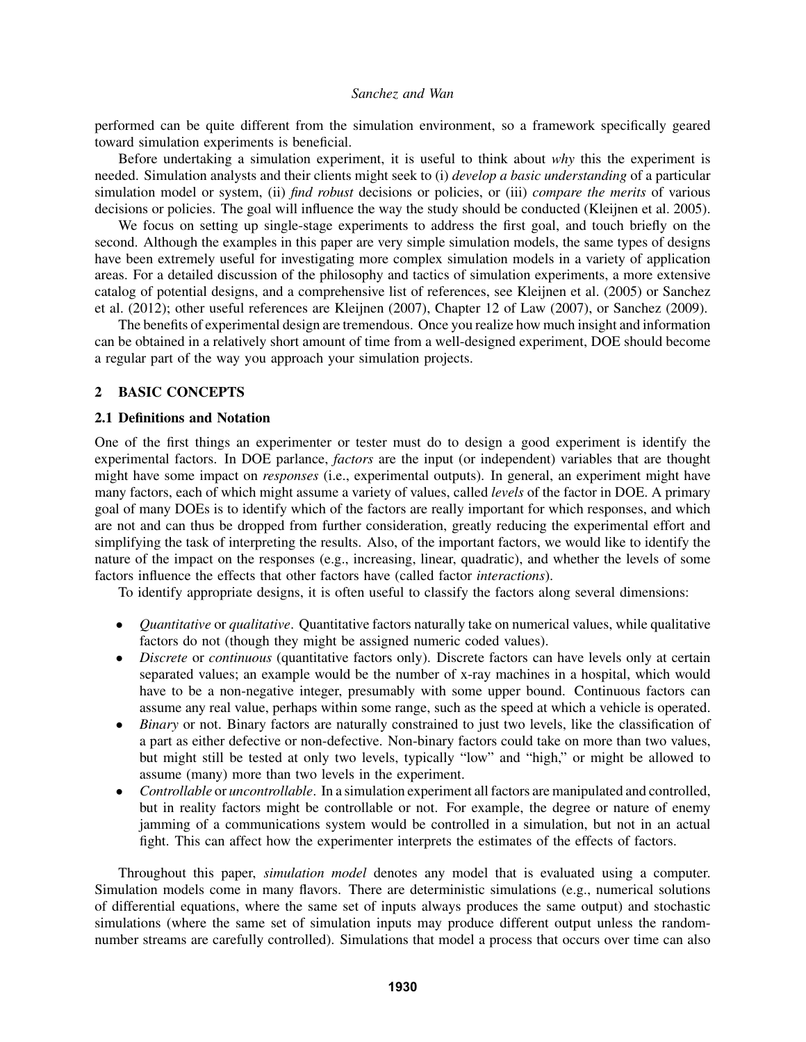performed can be quite different from the simulation environment, so a framework specifically geared toward simulation experiments is beneficial.

Before undertaking a simulation experiment, it is useful to think about *why* this the experiment is needed. Simulation analysts and their clients might seek to (i) *develop a basic understanding* of a particular simulation model or system, (ii) *find robust* decisions or policies, or (iii) *compare the merits* of various decisions or policies. The goal will influence the way the study should be conducted (Kleijnen et al. 2005).

We focus on setting up single-stage experiments to address the first goal, and touch briefly on the second. Although the examples in this paper are very simple simulation models, the same types of designs have been extremely useful for investigating more complex simulation models in a variety of application areas. For a detailed discussion of the philosophy and tactics of simulation experiments, a more extensive catalog of potential designs, and a comprehensive list of references, see Kleijnen et al. (2005) or Sanchez et al. (2012); other useful references are Kleijnen (2007), Chapter 12 of Law (2007), or Sanchez (2009).

The benefits of experimental design are tremendous. Once you realize how much insight and information can be obtained in a relatively short amount of time from a well-designed experiment, DOE should become a regular part of the way you approach your simulation projects.

# 2 BASIC CONCEPTS

## 2.1 Definitions and Notation

One of the first things an experimenter or tester must do to design a good experiment is identify the experimental factors. In DOE parlance, *factors* are the input (or independent) variables that are thought might have some impact on *responses* (i.e., experimental outputs). In general, an experiment might have many factors, each of which might assume a variety of values, called *levels* of the factor in DOE. A primary goal of many DOEs is to identify which of the factors are really important for which responses, and which are not and can thus be dropped from further consideration, greatly reducing the experimental effort and simplifying the task of interpreting the results. Also, of the important factors, we would like to identify the nature of the impact on the responses (e.g., increasing, linear, quadratic), and whether the levels of some factors influence the effects that other factors have (called factor *interactions*).

To identify appropriate designs, it is often useful to classify the factors along several dimensions:

- *Quantitative* or *qualitative*. Quantitative factors naturally take on numerical values, while qualitative factors do not (though they might be assigned numeric coded values).
- *Discrete* or *continuous* (quantitative factors only). Discrete factors can have levels only at certain separated values; an example would be the number of x-ray machines in a hospital, which would have to be a non-negative integer, presumably with some upper bound. Continuous factors can assume any real value, perhaps within some range, such as the speed at which a vehicle is operated.
- *Binary* or not. Binary factors are naturally constrained to just two levels, like the classification of a part as either defective or non-defective. Non-binary factors could take on more than two values, but might still be tested at only two levels, typically "low" and "high," or might be allowed to assume (many) more than two levels in the experiment.
- *Controllable* or *uncontrollable*. In a simulation experiment all factors are manipulated and controlled, but in reality factors might be controllable or not. For example, the degree or nature of enemy jamming of a communications system would be controlled in a simulation, but not in an actual fight. This can affect how the experimenter interprets the estimates of the effects of factors.

Throughout this paper, *simulation model* denotes any model that is evaluated using a computer. Simulation models come in many flavors. There are deterministic simulations (e.g., numerical solutions of differential equations, where the same set of inputs always produces the same output) and stochastic simulations (where the same set of simulation inputs may produce different output unless the randomnumber streams are carefully controlled). Simulations that model a process that occurs over time can also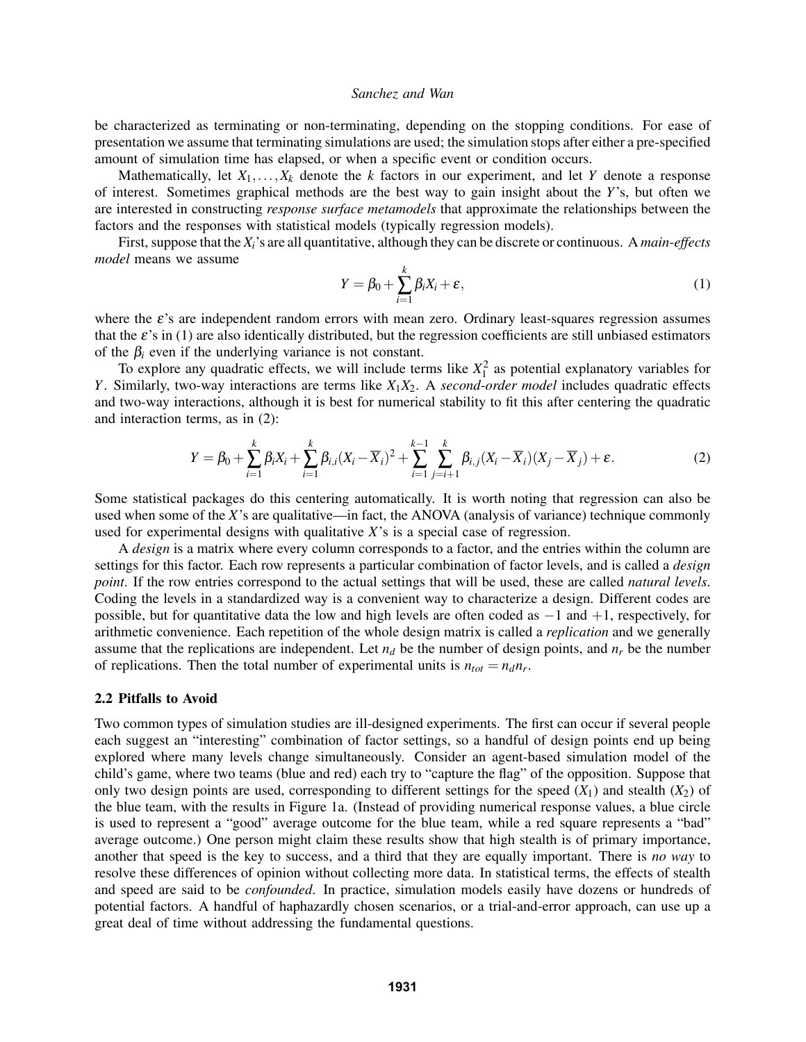be characterized as terminating or non-terminating, depending on the stopping conditions. For ease of presentation we assume that terminating simulations are used; the simulation stops after either a pre-specified amount of simulation time has elapsed, or when a specific event or condition occurs.

Mathematically, let  $X_1, \ldots, X_k$  denote the *k* factors in our experiment, and let *Y* denote a response of interest. Sometimes graphical methods are the best way to gain insight about the *Y*'s, but often we are interested in constructing *response surface metamodels* that approximate the relationships between the factors and the responses with statistical models (typically regression models).

First, suppose that the *Xi*'s are all quantitative, although they can be discrete or continuous. A *main-effects model* means we assume

$$
Y = \beta_0 + \sum_{i=1}^k \beta_i X_i + \varepsilon,\tag{1}
$$

where the ε's are independent random errors with mean zero. Ordinary least-squares regression assumes that the  $\varepsilon$ 's in (1) are also identically distributed, but the regression coefficients are still unbiased estimators of the  $\beta_i$  even if the underlying variance is not constant.

To explore any quadratic effects, we will include terms like  $X_1^2$  as potential explanatory variables for *Y*. Similarly, two-way interactions are terms like *X*1*X*2. A *second-order model* includes quadratic effects and two-way interactions, although it is best for numerical stability to fit this after centering the quadratic and interaction terms, as in (2):

$$
Y = \beta_0 + \sum_{i=1}^k \beta_i X_i + \sum_{i=1}^k \beta_{i,i} (X_i - \overline{X}_i)^2 + \sum_{i=1}^{k-1} \sum_{j=i+1}^k \beta_{i,j} (X_i - \overline{X}_i)(X_j - \overline{X}_j) + \varepsilon.
$$
 (2)

Some statistical packages do this centering automatically. It is worth noting that regression can also be used when some of the *X*'s are qualitative—in fact, the ANOVA (analysis of variance) technique commonly used for experimental designs with qualitative *X*'s is a special case of regression.

A *design* is a matrix where every column corresponds to a factor, and the entries within the column are settings for this factor. Each row represents a particular combination of factor levels, and is called a *design point*. If the row entries correspond to the actual settings that will be used, these are called *natural levels*. Coding the levels in a standardized way is a convenient way to characterize a design. Different codes are possible, but for quantitative data the low and high levels are often coded as  $-1$  and  $+1$ , respectively, for arithmetic convenience. Each repetition of the whole design matrix is called a *replication* and we generally assume that the replications are independent. Let  $n_d$  be the number of design points, and  $n_r$  be the number of replications. Then the total number of experimental units is  $n_{tot} = n_d n_r$ .

### 2.2 Pitfalls to Avoid

Two common types of simulation studies are ill-designed experiments. The first can occur if several people each suggest an "interesting" combination of factor settings, so a handful of design points end up being explored where many levels change simultaneously. Consider an agent-based simulation model of the child's game, where two teams (blue and red) each try to "capture the flag" of the opposition. Suppose that only two design points are used, corresponding to different settings for the speed  $(X_1)$  and stealth  $(X_2)$  of the blue team, with the results in Figure 1a. (Instead of providing numerical response values, a blue circle is used to represent a "good" average outcome for the blue team, while a red square represents a "bad" average outcome.) One person might claim these results show that high stealth is of primary importance, another that speed is the key to success, and a third that they are equally important. There is *no way* to resolve these differences of opinion without collecting more data. In statistical terms, the effects of stealth and speed are said to be *confounded*. In practice, simulation models easily have dozens or hundreds of potential factors. A handful of haphazardly chosen scenarios, or a trial-and-error approach, can use up a great deal of time without addressing the fundamental questions.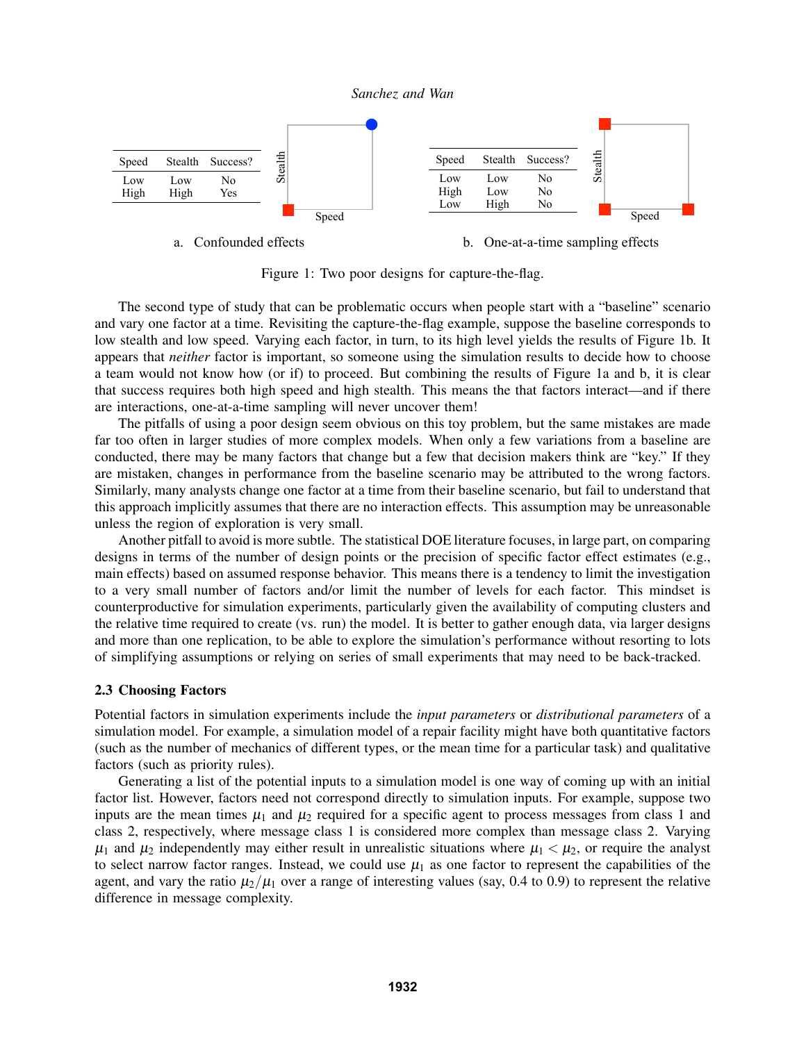

a. Confounded effects b. One-at-a-time sampling effects

Figure 1: Two poor designs for capture-the-flag.

The second type of study that can be problematic occurs when people start with a "baseline" scenario and vary one factor at a time. Revisiting the capture-the-flag example, suppose the baseline corresponds to low stealth and low speed. Varying each factor, in turn, to its high level yields the results of Figure 1b. It appears that *neither* factor is important, so someone using the simulation results to decide how to choose a team would not know how (or if) to proceed. But combining the results of Figure 1a and b, it is clear that success requires both high speed and high stealth. This means the that factors interact—and if there are interactions, one-at-a-time sampling will never uncover them!

The pitfalls of using a poor design seem obvious on this toy problem, but the same mistakes are made far too often in larger studies of more complex models. When only a few variations from a baseline are conducted, there may be many factors that change but a few that decision makers think are "key." If they are mistaken, changes in performance from the baseline scenario may be attributed to the wrong factors. Similarly, many analysts change one factor at a time from their baseline scenario, but fail to understand that this approach implicitly assumes that there are no interaction effects. This assumption may be unreasonable unless the region of exploration is very small.

Another pitfall to avoid is more subtle. The statistical DOE literature focuses, in large part, on comparing designs in terms of the number of design points or the precision of specific factor effect estimates (e.g., main effects) based on assumed response behavior. This means there is a tendency to limit the investigation to a very small number of factors and/or limit the number of levels for each factor. This mindset is counterproductive for simulation experiments, particularly given the availability of computing clusters and the relative time required to create (vs. run) the model. It is better to gather enough data, via larger designs and more than one replication, to be able to explore the simulation's performance without resorting to lots of simplifying assumptions or relying on series of small experiments that may need to be back-tracked.

## 2.3 Choosing Factors

Potential factors in simulation experiments include the *input parameters* or *distributional parameters* of a simulation model. For example, a simulation model of a repair facility might have both quantitative factors (such as the number of mechanics of different types, or the mean time for a particular task) and qualitative factors (such as priority rules).

Generating a list of the potential inputs to a simulation model is one way of coming up with an initial factor list. However, factors need not correspond directly to simulation inputs. For example, suppose two inputs are the mean times  $\mu_1$  and  $\mu_2$  required for a specific agent to process messages from class 1 and class 2, respectively, where message class 1 is considered more complex than message class 2. Varying  $\mu_1$  and  $\mu_2$  independently may either result in unrealistic situations where  $\mu_1 < \mu_2$ , or require the analyst to select narrow factor ranges. Instead, we could use  $\mu_1$  as one factor to represent the capabilities of the agent, and vary the ratio  $\mu_2/\mu_1$  over a range of interesting values (say, 0.4 to 0.9) to represent the relative difference in message complexity.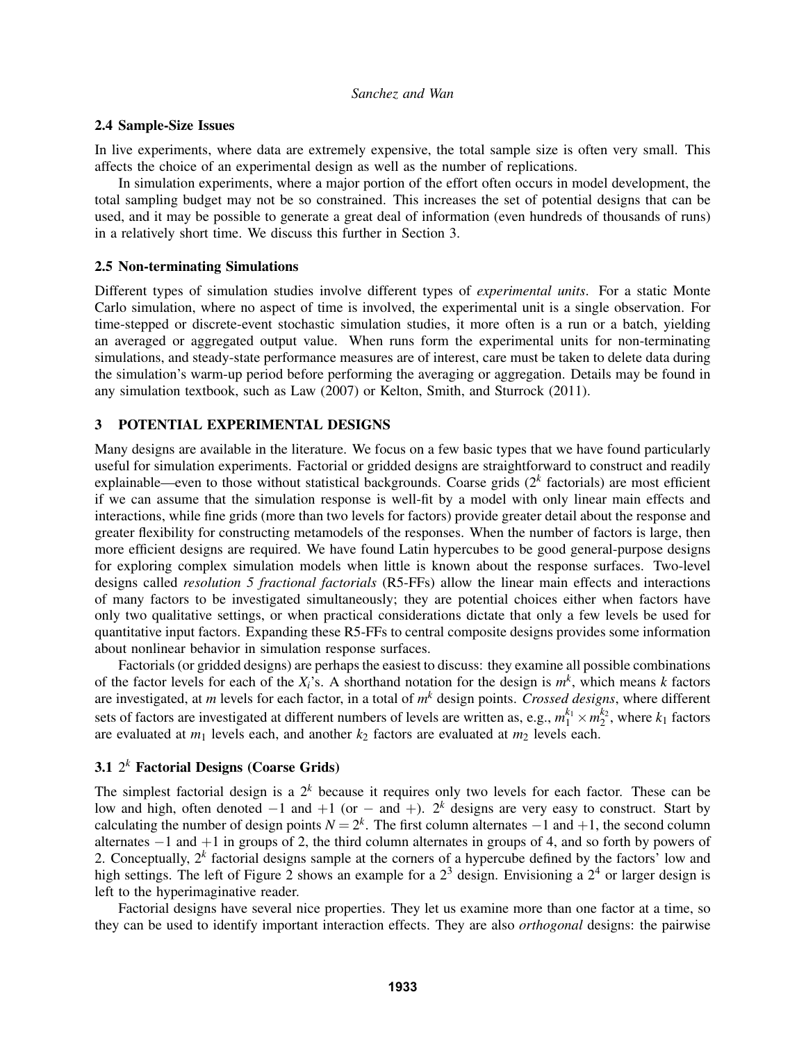### 2.4 Sample-Size Issues

In live experiments, where data are extremely expensive, the total sample size is often very small. This affects the choice of an experimental design as well as the number of replications.

In simulation experiments, where a major portion of the effort often occurs in model development, the total sampling budget may not be so constrained. This increases the set of potential designs that can be used, and it may be possible to generate a great deal of information (even hundreds of thousands of runs) in a relatively short time. We discuss this further in Section 3.

#### 2.5 Non-terminating Simulations

Different types of simulation studies involve different types of *experimental units*. For a static Monte Carlo simulation, where no aspect of time is involved, the experimental unit is a single observation. For time-stepped or discrete-event stochastic simulation studies, it more often is a run or a batch, yielding an averaged or aggregated output value. When runs form the experimental units for non-terminating simulations, and steady-state performance measures are of interest, care must be taken to delete data during the simulation's warm-up period before performing the averaging or aggregation. Details may be found in any simulation textbook, such as Law (2007) or Kelton, Smith, and Sturrock (2011).

### 3 POTENTIAL EXPERIMENTAL DESIGNS

Many designs are available in the literature. We focus on a few basic types that we have found particularly useful for simulation experiments. Factorial or gridded designs are straightforward to construct and readily explainable—even to those without statistical backgrounds. Coarse grids (2*<sup>k</sup>* factorials) are most efficient if we can assume that the simulation response is well-fit by a model with only linear main effects and interactions, while fine grids (more than two levels for factors) provide greater detail about the response and greater flexibility for constructing metamodels of the responses. When the number of factors is large, then more efficient designs are required. We have found Latin hypercubes to be good general-purpose designs for exploring complex simulation models when little is known about the response surfaces. Two-level designs called *resolution 5 fractional factorials* (R5-FFs) allow the linear main effects and interactions of many factors to be investigated simultaneously; they are potential choices either when factors have only two qualitative settings, or when practical considerations dictate that only a few levels be used for quantitative input factors. Expanding these R5-FFs to central composite designs provides some information about nonlinear behavior in simulation response surfaces.

Factorials (or gridded designs) are perhaps the easiest to discuss: they examine all possible combinations of the factor levels for each of the  $X_i$ 's. A shorthand notation for the design is  $m^k$ , which means  $k$  factors are investigated, at *m* levels for each factor, in a total of *m <sup>k</sup>* design points. *Crossed designs*, where different sets of factors are investigated at different numbers of levels are written as, e.g.,  $m_1^{k_1} \times m_2^{k_2}$ , where  $k_1$  factors are evaluated at *m*<sup>1</sup> levels each, and another *k*<sup>2</sup> factors are evaluated at *m*<sup>2</sup> levels each.

# $3.1$   $2<sup>k</sup>$  Factorial Designs (Coarse Grids)

The simplest factorial design is a  $2^k$  because it requires only two levels for each factor. These can be low and high, often denoted  $-1$  and  $+1$  (or  $-$  and  $+$ ). 2<sup>k</sup> designs are very easy to construct. Start by calculating the number of design points  $N = 2<sup>k</sup>$ . The first column alternates  $-1$  and  $+1$ , the second column alternates −1 and +1 in groups of 2, the third column alternates in groups of 4, and so forth by powers of 2. Conceptually,  $2^k$  factorial designs sample at the corners of a hypercube defined by the factors' low and high settings. The left of Figure 2 shows an example for a  $2<sup>3</sup>$  design. Envisioning a  $2<sup>4</sup>$  or larger design is left to the hyperimaginative reader.

Factorial designs have several nice properties. They let us examine more than one factor at a time, so they can be used to identify important interaction effects. They are also *orthogonal* designs: the pairwise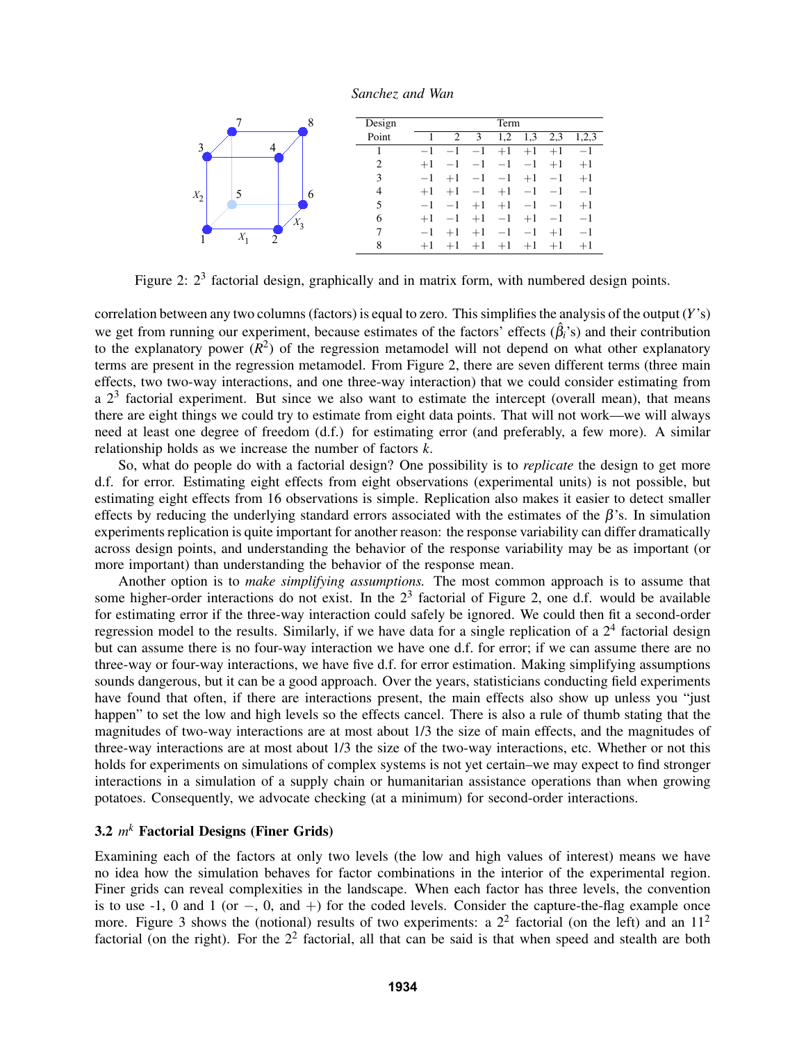*Sanchez and Wan*



Figure 2:  $2^3$  factorial design, graphically and in matrix form, with numbered design points.

correlation between any two columns (factors) is equal to zero. This simplifies the analysis of the output (*Y*'s) we get from running our experiment, because estimates of the factors' effects  $(\hat{\beta}_i)$ 's) and their contribution to the explanatory power  $(R^2)$  of the regression metamodel will not depend on what other explanatory terms are present in the regression metamodel. From Figure 2, there are seven different terms (three main effects, two two-way interactions, and one three-way interaction) that we could consider estimating from a  $2<sup>3</sup>$  factorial experiment. But since we also want to estimate the intercept (overall mean), that means there are eight things we could try to estimate from eight data points. That will not work—we will always need at least one degree of freedom (d.f.) for estimating error (and preferably, a few more). A similar relationship holds as we increase the number of factors *k*.

So, what do people do with a factorial design? One possibility is to *replicate* the design to get more d.f. for error. Estimating eight effects from eight observations (experimental units) is not possible, but estimating eight effects from 16 observations is simple. Replication also makes it easier to detect smaller effects by reducing the underlying standard errors associated with the estimates of the  $\beta$ 's. In simulation experiments replication is quite important for another reason: the response variability can differ dramatically across design points, and understanding the behavior of the response variability may be as important (or more important) than understanding the behavior of the response mean.

Another option is to *make simplifying assumptions.* The most common approach is to assume that some higher-order interactions do not exist. In the  $2<sup>3</sup>$  factorial of Figure 2, one d.f. would be available for estimating error if the three-way interaction could safely be ignored. We could then fit a second-order regression model to the results. Similarly, if we have data for a single replication of a  $2<sup>4</sup>$  factorial design but can assume there is no four-way interaction we have one d.f. for error; if we can assume there are no three-way or four-way interactions, we have five d.f. for error estimation. Making simplifying assumptions sounds dangerous, but it can be a good approach. Over the years, statisticians conducting field experiments have found that often, if there are interactions present, the main effects also show up unless you "just happen" to set the low and high levels so the effects cancel. There is also a rule of thumb stating that the magnitudes of two-way interactions are at most about 1/3 the size of main effects, and the magnitudes of three-way interactions are at most about 1/3 the size of the two-way interactions, etc. Whether or not this holds for experiments on simulations of complex systems is not yet certain–we may expect to find stronger interactions in a simulation of a supply chain or humanitarian assistance operations than when growing potatoes. Consequently, we advocate checking (at a minimum) for second-order interactions.

# 3.2 *m <sup>k</sup>* Factorial Designs (Finer Grids)

Examining each of the factors at only two levels (the low and high values of interest) means we have no idea how the simulation behaves for factor combinations in the interior of the experimental region. Finer grids can reveal complexities in the landscape. When each factor has three levels, the convention is to use  $-1$ , 0 and 1 (or  $-$ , 0, and  $+$ ) for the coded levels. Consider the capture-the-flag example once more. Figure 3 shows the (notional) results of two experiments: a  $2^2$  factorial (on the left) and an  $11^2$ factorial (on the right). For the  $2<sup>2</sup>$  factorial, all that can be said is that when speed and stealth are both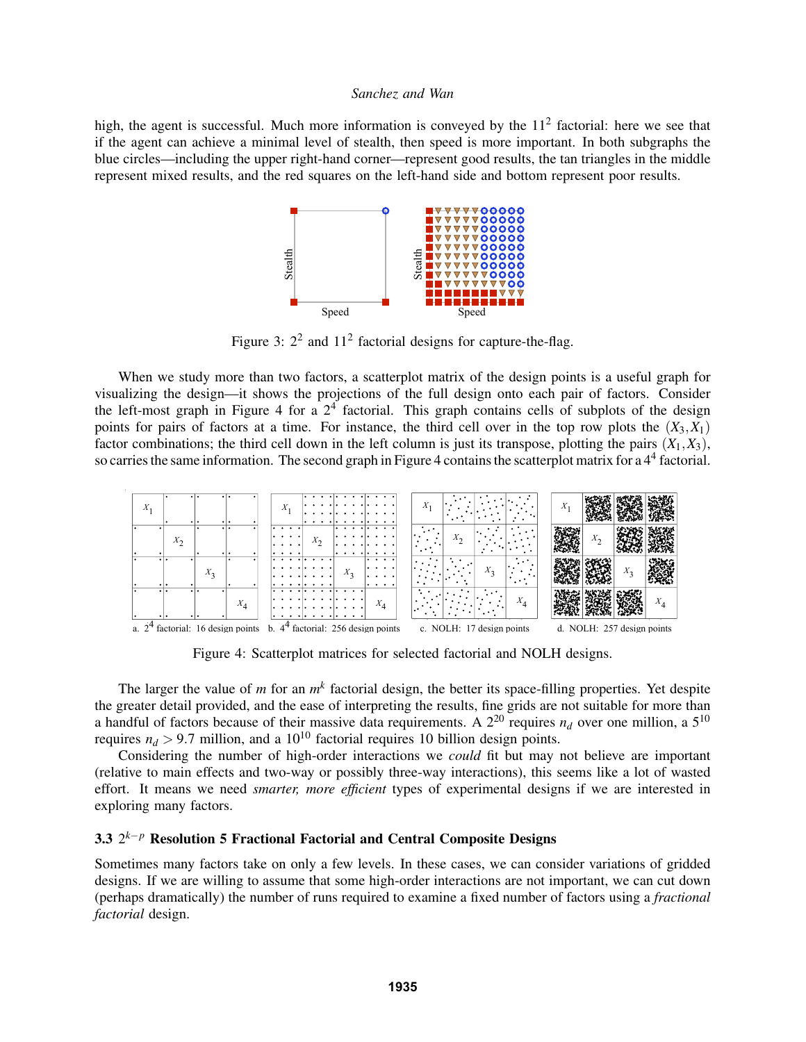high, the agent is successful. Much more information is conveyed by the  $11<sup>2</sup>$  factorial: here we see that if the agent can achieve a minimal level of stealth, then speed is more important. In both subgraphs the blue circles—including the upper right-hand corner—represent good results, the tan triangles in the middle represent mixed results, and the red squares on the left-hand side and bottom represent poor results.



Figure 3:  $2^2$  and  $11^2$  factorial designs for capture-the-flag.

When we study more than two factors, a scatterplot matrix of the design points is a useful graph for visualizing the design—it shows the projections of the full design onto each pair of factors. Consider the left-most graph in Figure 4 for a  $2<sup>4</sup>$  factorial. This graph contains cells of subplots of the design points for pairs of factors at a time. For instance, the third cell over in the top row plots the  $(X_3, X_1)$ factor combinations; the third cell down in the left column is just its transpose, plotting the pairs  $(X_1, X_3)$ , so carries the same information. The second graph in Figure 4 contains the scatterplot matrix for a 4<sup>4</sup> factorial. *Matrix*<br>*X*<sub>2</sub>



Figure 4: Scatterplot matrices for selected factorial and NOLH designs.

The larger the value of *m* for an *m*<sup>k</sup> factorial design, the better its space-filling properties. Yet despite a handful of factors because of their massive data requirements. A  $2^{20}$  requires  $n_d$  over one million, a  $5^{10}$ the greater detail provided, and the ease of interpreting the results, fine grids are not suitable for more than requires  $n_d > 9.7$  million, and a 10<sup>10</sup> factorial requires 10 billion design points.

(relative to main effects and two-way or possibly three-way interactions), this seems like a lot of wasted Considering the number of high-order interactions we *could* fit but may not believe are important effort. It means we need *smarter, more efficient* types of experimental designs if we are interested in exploring many factors.

# 3.3 2<sup>k−*p*</sup> Resolution 5 Fractional Factorial and Central Composite Designs

Sometimes many factors take on only a few levels. In these cases, we can consider variations of gridded designs. If we are willing to assume that some high-order interactions are not important, we can cut down (perhaps dramatically) the number of runs required to examine a fixed number of factors using a *fractional factorial* design.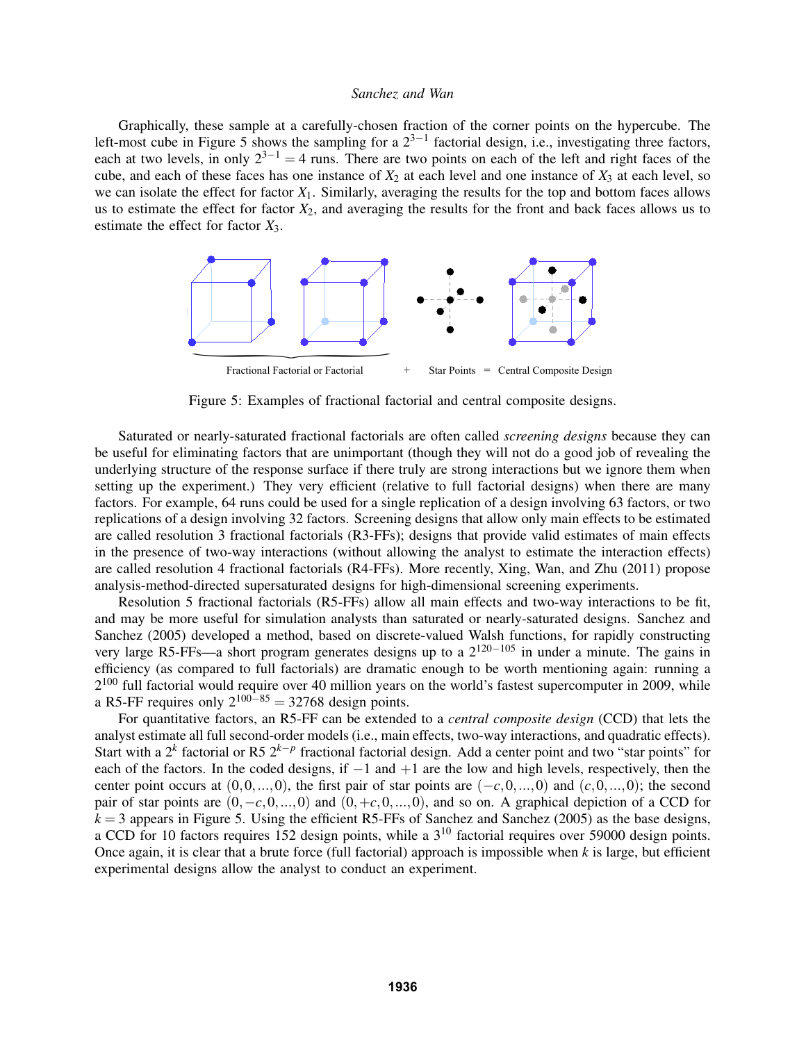Graphically, these sample at a carefully-chosen fraction of the corner points on the hypercube. The left-most cube in Figure 5 shows the sampling for a  $2^{3-1}$  factorial design, i.e., investigating three factors, each at two levels, in only  $2^{3-1} = 4$  runs. There are two points on each of the left and right faces of the cube, and each of these faces has one instance of  $X_2$  at each level and one instance of  $X_3$  at each level, so we can isolate the effect for factor *X*1. Similarly, averaging the results for the top and bottom faces allows us to estimate the effect for factor *X*2, and averaging the results for the front and back faces allows us to estimate the effect for factor *X*3.



Figure 5: Examples of fractional factorial and central composite designs.

Saturated or nearly-saturated fractional factorials are often called *screening designs* because they can be useful for eliminating factors that are unimportant (though they will not do a good job of revealing the underlying structure of the response surface if there truly are strong interactions but we ignore them when setting up the experiment.) They very efficient (relative to full factorial designs) when there are many factors. For example, 64 runs could be used for a single replication of a design involving 63 factors, or two replications of a design involving 32 factors. Screening designs that allow only main effects to be estimated are called resolution 3 fractional factorials (R3-FFs); designs that provide valid estimates of main effects in the presence of two-way interactions (without allowing the analyst to estimate the interaction effects) are called resolution 4 fractional factorials (R4-FFs). More recently, Xing, Wan, and Zhu (2011) propose analysis-method-directed supersaturated designs for high-dimensional screening experiments.

Resolution 5 fractional factorials (R5-FFs) allow all main effects and two-way interactions to be fit, and may be more useful for simulation analysts than saturated or nearly-saturated designs. Sanchez and Sanchez (2005) developed a method, based on discrete-valued Walsh functions, for rapidly constructing very large R5-FFs—a short program generates designs up to a 2120−<sup>105</sup> in under a minute. The gains in efficiency (as compared to full factorials) are dramatic enough to be worth mentioning again: running a  $2^{100}$  full factorial would require over 40 million years on the world's fastest supercomputer in 2009, while a R5-FF requires only  $2^{100-85} = 32768$  design points.

For quantitative factors, an R5-FF can be extended to a *central composite design* (CCD) that lets the analyst estimate all full second-order models (i.e., main effects, two-way interactions, and quadratic effects). Start with a  $2^k$  factorial or R5  $2^{k-p}$  fractional factorial design. Add a center point and two "star points" for each of the factors. In the coded designs, if  $-1$  and  $+1$  are the low and high levels, respectively, then the center point occurs at  $(0,0,...,0)$ , the first pair of star points are  $(-c,0,...,0)$  and  $(c,0,...,0)$ ; the second pair of star points are (0,−*c*,0,...,0) and (0,+*c*,0,...,0), and so on. A graphical depiction of a CCD for  $k = 3$  appears in Figure 5. Using the efficient R5-FFs of Sanchez and Sanchez (2005) as the base designs, a CCD for 10 factors requires 152 design points, while a 3<sup>10</sup> factorial requires over 59000 design points. Once again, it is clear that a brute force (full factorial) approach is impossible when *k* is large, but efficient experimental designs allow the analyst to conduct an experiment.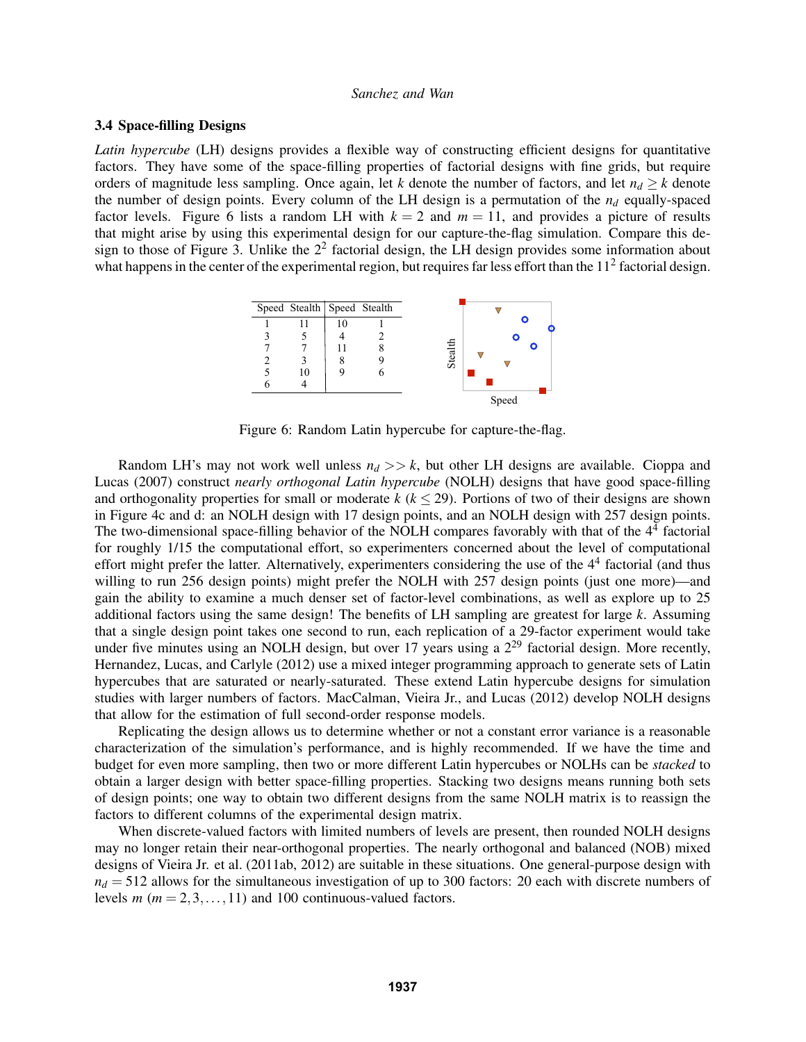## 3.4 Space-filling Designs

*Latin hypercube* (LH) designs provides a flexible way of constructing efficient designs for quantitative factors. They have some of the space-filling properties of factorial designs with fine grids, but require orders of magnitude less sampling. Once again, let *k* denote the number of factors, and let  $n_d \geq k$  denote the number of design points. Every column of the LH design is a permutation of the *n<sup>d</sup>* equally-spaced factor levels. Figure 6 lists a random LH with  $k = 2$  and  $m = 11$ , and provides a picture of results that might arise by using this experimental design for our capture-the-flag simulation. Compare this design to those of Figure 3. Unlike the  $2<sup>2</sup>$  factorial design, the LH design provides some information about what happens in the center of the experimental region, but requires far less effort than the  $11<sup>2</sup>$  factorial design.



Figure 6: Random Latin hypercube for capture-the-flag.

Random LH's may not work well unless  $n_d \gg k$ , but other LH designs are available. Cioppa and Lucas (2007) construct *nearly orthogonal Latin hypercube* (NOLH) designs that have good space-filling and orthogonality properties for small or moderate  $k$  ( $k \le 29$ ). Portions of two of their designs are shown in Figure 4c and d: an NOLH design with 17 design points, and an NOLH design with 257 design points. The two-dimensional space-filling behavior of the NOLH compares favorably with that of the  $4<sup>4</sup>$  factorial for roughly 1/15 the computational effort, so experimenters concerned about the level of computational effort might prefer the latter. Alternatively, experimenters considering the use of the 4<sup>4</sup> factorial (and thus willing to run 256 design points) might prefer the NOLH with 257 design points (just one more)—and gain the ability to examine a much denser set of factor-level combinations, as well as explore up to 25 additional factors using the same design! The benefits of LH sampling are greatest for large *k*. Assuming that a single design point takes one second to run, each replication of a 29-factor experiment would take under five minutes using an NOLH design, but over 17 years using a  $2^{29}$  factorial design. More recently, Hernandez, Lucas, and Carlyle (2012) use a mixed integer programming approach to generate sets of Latin hypercubes that are saturated or nearly-saturated. These extend Latin hypercube designs for simulation studies with larger numbers of factors. MacCalman, Vieira Jr., and Lucas (2012) develop NOLH designs that allow for the estimation of full second-order response models.

Replicating the design allows us to determine whether or not a constant error variance is a reasonable characterization of the simulation's performance, and is highly recommended. If we have the time and budget for even more sampling, then two or more different Latin hypercubes or NOLHs can be *stacked* to obtain a larger design with better space-filling properties. Stacking two designs means running both sets of design points; one way to obtain two different designs from the same NOLH matrix is to reassign the factors to different columns of the experimental design matrix.

When discrete-valued factors with limited numbers of levels are present, then rounded NOLH designs may no longer retain their near-orthogonal properties. The nearly orthogonal and balanced (NOB) mixed designs of Vieira Jr. et al. (2011ab, 2012) are suitable in these situations. One general-purpose design with  $n_d$  = 512 allows for the simultaneous investigation of up to 300 factors: 20 each with discrete numbers of levels  $m$  ( $m = 2, 3, \ldots, 11$ ) and 100 continuous-valued factors.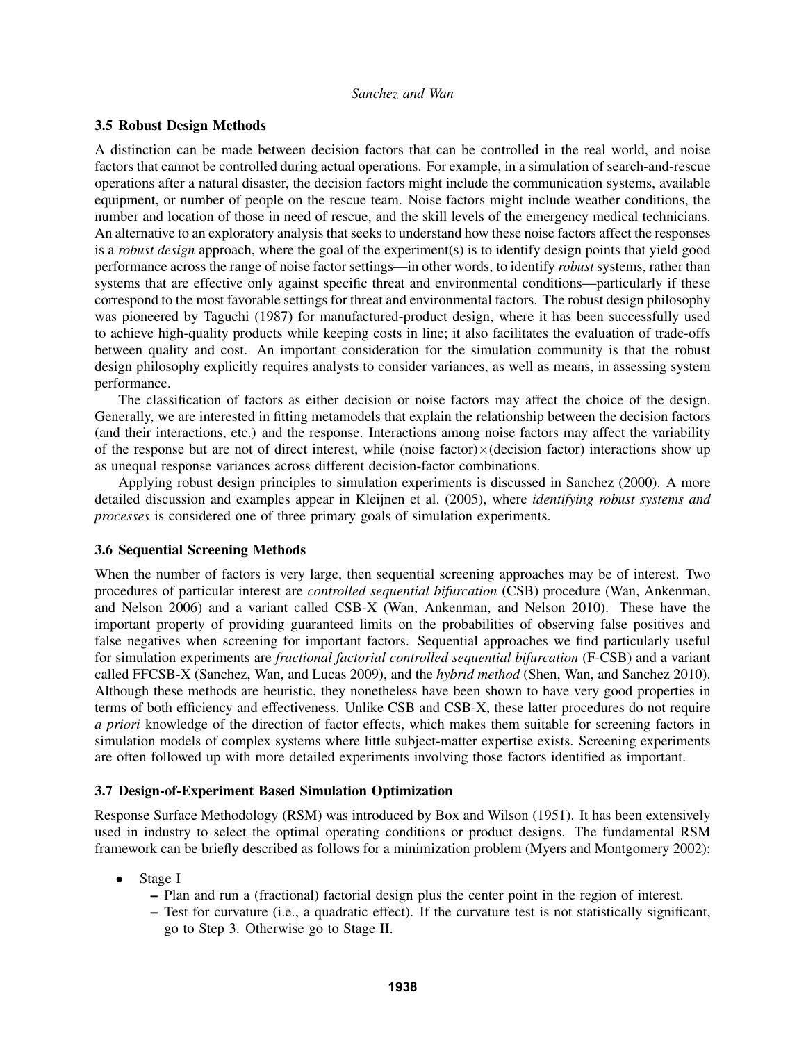## 3.5 Robust Design Methods

A distinction can be made between decision factors that can be controlled in the real world, and noise factors that cannot be controlled during actual operations. For example, in a simulation of search-and-rescue operations after a natural disaster, the decision factors might include the communication systems, available equipment, or number of people on the rescue team. Noise factors might include weather conditions, the number and location of those in need of rescue, and the skill levels of the emergency medical technicians. An alternative to an exploratory analysis that seeks to understand how these noise factors affect the responses is a *robust design* approach, where the goal of the experiment(s) is to identify design points that yield good performance across the range of noise factor settings—in other words, to identify *robust* systems, rather than systems that are effective only against specific threat and environmental conditions—particularly if these correspond to the most favorable settings for threat and environmental factors. The robust design philosophy was pioneered by Taguchi (1987) for manufactured-product design, where it has been successfully used to achieve high-quality products while keeping costs in line; it also facilitates the evaluation of trade-offs between quality and cost. An important consideration for the simulation community is that the robust design philosophy explicitly requires analysts to consider variances, as well as means, in assessing system performance.

The classification of factors as either decision or noise factors may affect the choice of the design. Generally, we are interested in fitting metamodels that explain the relationship between the decision factors (and their interactions, etc.) and the response. Interactions among noise factors may affect the variability of the response but are not of direct interest, while (noise factor) $\times$ (decision factor) interactions show up as unequal response variances across different decision-factor combinations.

Applying robust design principles to simulation experiments is discussed in Sanchez (2000). A more detailed discussion and examples appear in Kleijnen et al. (2005), where *identifying robust systems and processes* is considered one of three primary goals of simulation experiments.

# 3.6 Sequential Screening Methods

When the number of factors is very large, then sequential screening approaches may be of interest. Two procedures of particular interest are *controlled sequential bifurcation* (CSB) procedure (Wan, Ankenman, and Nelson 2006) and a variant called CSB-X (Wan, Ankenman, and Nelson 2010). These have the important property of providing guaranteed limits on the probabilities of observing false positives and false negatives when screening for important factors. Sequential approaches we find particularly useful for simulation experiments are *fractional factorial controlled sequential bifurcation* (F-CSB) and a variant called FFCSB-X (Sanchez, Wan, and Lucas 2009), and the *hybrid method* (Shen, Wan, and Sanchez 2010). Although these methods are heuristic, they nonetheless have been shown to have very good properties in terms of both efficiency and effectiveness. Unlike CSB and CSB-X, these latter procedures do not require *a priori* knowledge of the direction of factor effects, which makes them suitable for screening factors in simulation models of complex systems where little subject-matter expertise exists. Screening experiments are often followed up with more detailed experiments involving those factors identified as important.

## 3.7 Design-of-Experiment Based Simulation Optimization

Response Surface Methodology (RSM) was introduced by Box and Wilson (1951). It has been extensively used in industry to select the optimal operating conditions or product designs. The fundamental RSM framework can be briefly described as follows for a minimization problem (Myers and Montgomery 2002):

- Stage I
	- Plan and run a (fractional) factorial design plus the center point in the region of interest.
	- Test for curvature (i.e., a quadratic effect). If the curvature test is not statistically significant, go to Step 3. Otherwise go to Stage II.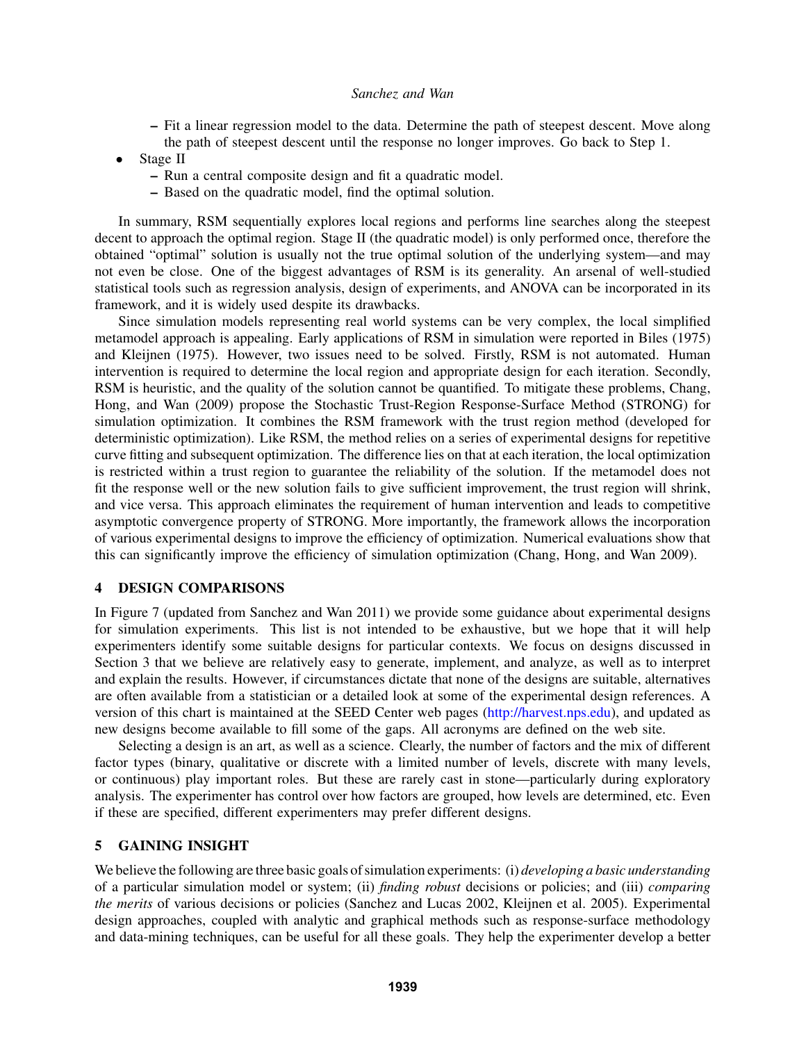- Fit a linear regression model to the data. Determine the path of steepest descent. Move along the path of steepest descent until the response no longer improves. Go back to Step 1.
- Stage II
	- Run a central composite design and fit a quadratic model.
	- Based on the quadratic model, find the optimal solution.

In summary, RSM sequentially explores local regions and performs line searches along the steepest decent to approach the optimal region. Stage II (the quadratic model) is only performed once, therefore the obtained "optimal" solution is usually not the true optimal solution of the underlying system—and may not even be close. One of the biggest advantages of RSM is its generality. An arsenal of well-studied statistical tools such as regression analysis, design of experiments, and ANOVA can be incorporated in its framework, and it is widely used despite its drawbacks.

Since simulation models representing real world systems can be very complex, the local simplified metamodel approach is appealing. Early applications of RSM in simulation were reported in Biles (1975) and Kleijnen (1975). However, two issues need to be solved. Firstly, RSM is not automated. Human intervention is required to determine the local region and appropriate design for each iteration. Secondly, RSM is heuristic, and the quality of the solution cannot be quantified. To mitigate these problems, Chang, Hong, and Wan (2009) propose the Stochastic Trust-Region Response-Surface Method (STRONG) for simulation optimization. It combines the RSM framework with the trust region method (developed for deterministic optimization). Like RSM, the method relies on a series of experimental designs for repetitive curve fitting and subsequent optimization. The difference lies on that at each iteration, the local optimization is restricted within a trust region to guarantee the reliability of the solution. If the metamodel does not fit the response well or the new solution fails to give sufficient improvement, the trust region will shrink, and vice versa. This approach eliminates the requirement of human intervention and leads to competitive asymptotic convergence property of STRONG. More importantly, the framework allows the incorporation of various experimental designs to improve the efficiency of optimization. Numerical evaluations show that this can significantly improve the efficiency of simulation optimization (Chang, Hong, and Wan 2009).

# 4 DESIGN COMPARISONS

In Figure 7 (updated from Sanchez and Wan 2011) we provide some guidance about experimental designs for simulation experiments. This list is not intended to be exhaustive, but we hope that it will help experimenters identify some suitable designs for particular contexts. We focus on designs discussed in Section 3 that we believe are relatively easy to generate, implement, and analyze, as well as to interpret and explain the results. However, if circumstances dictate that none of the designs are suitable, alternatives are often available from a statistician or a detailed look at some of the experimental design references. A version of this chart is maintained at the SEED Center web pages (http://harvest.nps.edu), and updated as new designs become available to fill some of the gaps. All acronyms are defined on the web site.

Selecting a design is an art, as well as a science. Clearly, the number of factors and the mix of different factor types (binary, qualitative or discrete with a limited number of levels, discrete with many levels, or continuous) play important roles. But these are rarely cast in stone—particularly during exploratory analysis. The experimenter has control over how factors are grouped, how levels are determined, etc. Even if these are specified, different experimenters may prefer different designs.

# 5 GAINING INSIGHT

We believe the following are three basic goals of simulation experiments: (i) *developing a basic understanding* of a particular simulation model or system; (ii) *finding robust* decisions or policies; and (iii) *comparing the merits* of various decisions or policies (Sanchez and Lucas 2002, Kleijnen et al. 2005). Experimental design approaches, coupled with analytic and graphical methods such as response-surface methodology and data-mining techniques, can be useful for all these goals. They help the experimenter develop a better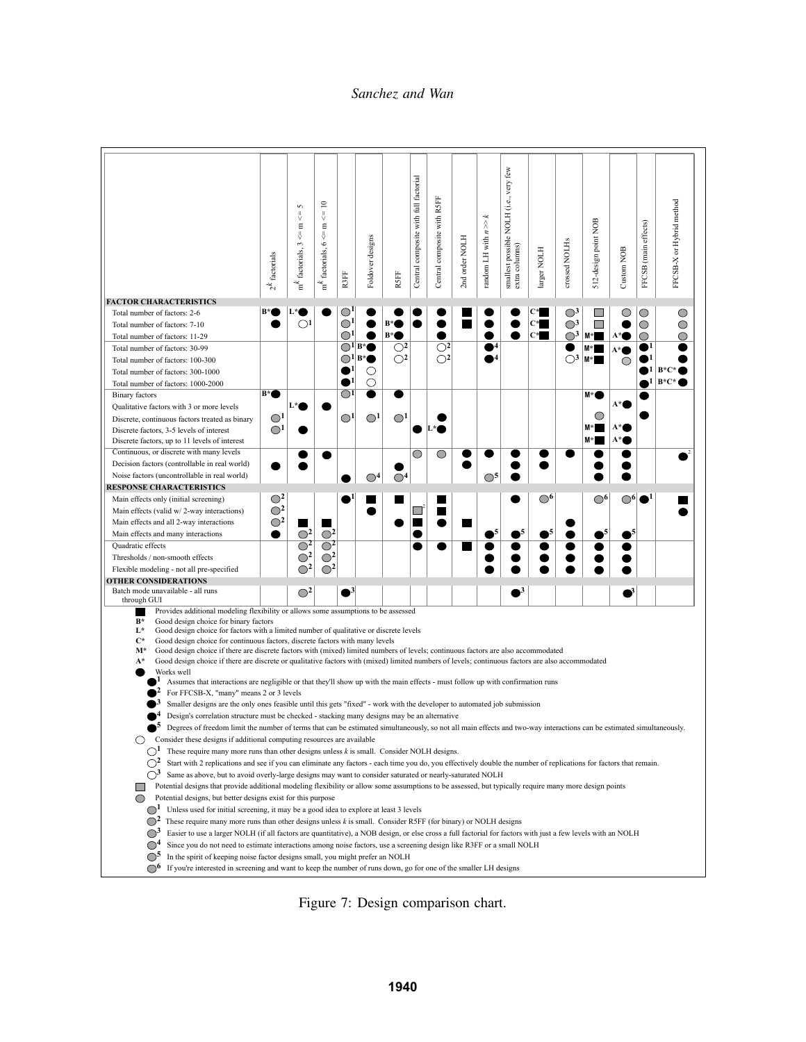|                                                                                                                                                                                                                                                                                                                                                                                                                                                                                                                                                                                                                                                                                                                                                                                                                                                                                                                                                                                                                                                                                                                                                                                                                                                                                                                                                                                                                                                                                                                                                                                                                                                                                                                                                                                                                                                                                                                                                                                                                                                                                                                                                                                                                                                                                                                                                                                                                           | $2^k$ factorials                                                                                                                                                                                      | $\mathbf{\hat{z}}$<br>$\stackrel{  }{\vee}$<br>m <sup>k</sup> factorials, $3 \le m$ | $\approx$<br>$\sqrt{ }$<br>$\mathbf{E}% _{0}$<br>₩<br>factorials, 6<br>ั้⊭ | <b>R3FF</b>                                | Foldover designs                           | RSFF                                                    | Central composite with full factorial | Central composite with R5FF | 2nd order NOLH | ×<br>random LH with $n \gg$ | possible NOLH (i.e., very few<br>extra columns)<br>smallest | larger NOLH                            | crossed NOLHs                                                                      | 512-design point NOB | Custom NOB | FFCSB (main effects)                | FFCSB-X or Hybrid method            |
|---------------------------------------------------------------------------------------------------------------------------------------------------------------------------------------------------------------------------------------------------------------------------------------------------------------------------------------------------------------------------------------------------------------------------------------------------------------------------------------------------------------------------------------------------------------------------------------------------------------------------------------------------------------------------------------------------------------------------------------------------------------------------------------------------------------------------------------------------------------------------------------------------------------------------------------------------------------------------------------------------------------------------------------------------------------------------------------------------------------------------------------------------------------------------------------------------------------------------------------------------------------------------------------------------------------------------------------------------------------------------------------------------------------------------------------------------------------------------------------------------------------------------------------------------------------------------------------------------------------------------------------------------------------------------------------------------------------------------------------------------------------------------------------------------------------------------------------------------------------------------------------------------------------------------------------------------------------------------------------------------------------------------------------------------------------------------------------------------------------------------------------------------------------------------------------------------------------------------------------------------------------------------------------------------------------------------------------------------------------------------------------------------------------------------|-------------------------------------------------------------------------------------------------------------------------------------------------------------------------------------------------------|-------------------------------------------------------------------------------------|----------------------------------------------------------------------------|--------------------------------------------|--------------------------------------------|---------------------------------------------------------|---------------------------------------|-----------------------------|----------------|-----------------------------|-------------------------------------------------------------|----------------------------------------|------------------------------------------------------------------------------------|----------------------|------------|-------------------------------------|-------------------------------------|
| <b>FACTOR CHARACTERISTICS</b>                                                                                                                                                                                                                                                                                                                                                                                                                                                                                                                                                                                                                                                                                                                                                                                                                                                                                                                                                                                                                                                                                                                                                                                                                                                                                                                                                                                                                                                                                                                                                                                                                                                                                                                                                                                                                                                                                                                                                                                                                                                                                                                                                                                                                                                                                                                                                                                             |                                                                                                                                                                                                       |                                                                                     |                                                                            |                                            |                                            |                                                         |                                       |                             |                |                             |                                                             |                                        |                                                                                    |                      |            |                                     |                                     |
| Total number of factors: 2-6<br>Total number of factors: 7-10<br>Total number of factors: 11-29<br>Total number of factors: 30-99<br>Total number of factors: 100-300<br>Total number of factors: 300-1000                                                                                                                                                                                                                                                                                                                                                                                                                                                                                                                                                                                                                                                                                                                                                                                                                                                                                                                                                                                                                                                                                                                                                                                                                                                                                                                                                                                                                                                                                                                                                                                                                                                                                                                                                                                                                                                                                                                                                                                                                                                                                                                                                                                                                | B*                                                                                                                                                                                                    | $\bigcirc$ <sup>1</sup>                                                             |                                                                            | $\circ$<br>$\bigcirc$<br>$\bigcirc^1$<br>◯ | $\bigcirc^1$ b* $\bullet$<br>B*O<br>O<br>∩ | B*(<br>$B^*$<br>$\bigcirc^2$<br>$\bigcirc$ <sup>2</sup> |                                       | $\bigcirc^2$<br>$\bigcirc$  |                |                             |                                                             | C*<br>$\mathbf{C}^*$<br>$\mathbf{C}^*$ | $\bigcirc^3$<br>$\bigcirc^3$<br>$\bigcirc$ <sup>3</sup><br>$\bigcirc$ <sup>3</sup> | М×<br>M <sup>*</sup> | C          | $\circ$<br>$\circlearrowright$<br>O | $\circ$<br>O<br>O<br>B*C<br>$B*C^*$ |
| Total number of factors: 1000-2000                                                                                                                                                                                                                                                                                                                                                                                                                                                                                                                                                                                                                                                                                                                                                                                                                                                                                                                                                                                                                                                                                                                                                                                                                                                                                                                                                                                                                                                                                                                                                                                                                                                                                                                                                                                                                                                                                                                                                                                                                                                                                                                                                                                                                                                                                                                                                                                        |                                                                                                                                                                                                       |                                                                                     |                                                                            |                                            |                                            |                                                         |                                       |                             |                |                             |                                                             |                                        |                                                                                    |                      |            |                                     |                                     |
| <b>Binary</b> factors<br>Qualitative factors with 3 or more levels<br>Discrete, continuous factors treated as binary<br>Discrete factors, 3-5 levels of interest<br>Discrete factors, up to 11 levels of interest                                                                                                                                                                                                                                                                                                                                                                                                                                                                                                                                                                                                                                                                                                                                                                                                                                                                                                                                                                                                                                                                                                                                                                                                                                                                                                                                                                                                                                                                                                                                                                                                                                                                                                                                                                                                                                                                                                                                                                                                                                                                                                                                                                                                         | $B^*$<br>$\bigcirc$ <sup>1</sup><br>$\bigcirc$ <sup>1</sup>                                                                                                                                           |                                                                                     |                                                                            | $\bigcirc$<br>$\bigcirc$                   | $\bigcirc$ <sup>1</sup>                    | $\bigcirc$ <sup>1</sup>                                 |                                       |                             |                |                             |                                                             |                                        |                                                                                    | M*<br>М*             | А*(        |                                     |                                     |
| Continuous, or discrete with many levels                                                                                                                                                                                                                                                                                                                                                                                                                                                                                                                                                                                                                                                                                                                                                                                                                                                                                                                                                                                                                                                                                                                                                                                                                                                                                                                                                                                                                                                                                                                                                                                                                                                                                                                                                                                                                                                                                                                                                                                                                                                                                                                                                                                                                                                                                                                                                                                  |                                                                                                                                                                                                       |                                                                                     |                                                                            |                                            |                                            |                                                         | O                                     | $\bigcirc$                  |                |                             |                                                             |                                        |                                                                                    |                      |            |                                     |                                     |
| Decision factors (controllable in real world)                                                                                                                                                                                                                                                                                                                                                                                                                                                                                                                                                                                                                                                                                                                                                                                                                                                                                                                                                                                                                                                                                                                                                                                                                                                                                                                                                                                                                                                                                                                                                                                                                                                                                                                                                                                                                                                                                                                                                                                                                                                                                                                                                                                                                                                                                                                                                                             |                                                                                                                                                                                                       |                                                                                     |                                                                            |                                            |                                            |                                                         |                                       |                             |                |                             |                                                             |                                        |                                                                                    |                      |            |                                     |                                     |
| Noise factors (uncontrollable in real world)                                                                                                                                                                                                                                                                                                                                                                                                                                                                                                                                                                                                                                                                                                                                                                                                                                                                                                                                                                                                                                                                                                                                                                                                                                                                                                                                                                                                                                                                                                                                                                                                                                                                                                                                                                                                                                                                                                                                                                                                                                                                                                                                                                                                                                                                                                                                                                              |                                                                                                                                                                                                       |                                                                                     |                                                                            |                                            | $\bigcirc^4$                               | $\bigcirc^4$                                            |                                       |                             |                | $\bigcirc^5$                |                                                             |                                        |                                                                                    |                      |            |                                     |                                     |
| <b>RESPONSE CHARACTERISTICS</b>                                                                                                                                                                                                                                                                                                                                                                                                                                                                                                                                                                                                                                                                                                                                                                                                                                                                                                                                                                                                                                                                                                                                                                                                                                                                                                                                                                                                                                                                                                                                                                                                                                                                                                                                                                                                                                                                                                                                                                                                                                                                                                                                                                                                                                                                                                                                                                                           |                                                                                                                                                                                                       |                                                                                     |                                                                            |                                            |                                            |                                                         |                                       |                             |                |                             |                                                             |                                        |                                                                                    |                      |            |                                     |                                     |
| Main effects only (initial screening)                                                                                                                                                                                                                                                                                                                                                                                                                                                                                                                                                                                                                                                                                                                                                                                                                                                                                                                                                                                                                                                                                                                                                                                                                                                                                                                                                                                                                                                                                                                                                                                                                                                                                                                                                                                                                                                                                                                                                                                                                                                                                                                                                                                                                                                                                                                                                                                     | $\overline{\bigcirc^2}$                                                                                                                                                                               |                                                                                     |                                                                            |                                            |                                            |                                                         |                                       |                             |                |                             |                                                             | $\bigcirc^6$                           |                                                                                    | $\bigcirc$           |            |                                     |                                     |
| Main effects (valid w/2-way interactions)                                                                                                                                                                                                                                                                                                                                                                                                                                                                                                                                                                                                                                                                                                                                                                                                                                                                                                                                                                                                                                                                                                                                                                                                                                                                                                                                                                                                                                                                                                                                                                                                                                                                                                                                                                                                                                                                                                                                                                                                                                                                                                                                                                                                                                                                                                                                                                                 | $\bigcirc^2$                                                                                                                                                                                          |                                                                                     |                                                                            |                                            |                                            |                                                         |                                       |                             |                |                             |                                                             |                                        |                                                                                    |                      |            |                                     |                                     |
| Main effects and all 2-way interactions                                                                                                                                                                                                                                                                                                                                                                                                                                                                                                                                                                                                                                                                                                                                                                                                                                                                                                                                                                                                                                                                                                                                                                                                                                                                                                                                                                                                                                                                                                                                                                                                                                                                                                                                                                                                                                                                                                                                                                                                                                                                                                                                                                                                                                                                                                                                                                                   | $\bigcirc^2$                                                                                                                                                                                          |                                                                                     |                                                                            |                                            |                                            |                                                         |                                       |                             |                |                             |                                                             |                                        |                                                                                    |                      |            |                                     |                                     |
| Main effects and many interactions                                                                                                                                                                                                                                                                                                                                                                                                                                                                                                                                                                                                                                                                                                                                                                                                                                                                                                                                                                                                                                                                                                                                                                                                                                                                                                                                                                                                                                                                                                                                                                                                                                                                                                                                                                                                                                                                                                                                                                                                                                                                                                                                                                                                                                                                                                                                                                                        |                                                                                                                                                                                                       | $\bigcirc^2$                                                                        | $\bigcirc^2$                                                               |                                            |                                            |                                                         |                                       |                             |                |                             |                                                             |                                        |                                                                                    |                      |            |                                     |                                     |
| Quadratic effects                                                                                                                                                                                                                                                                                                                                                                                                                                                                                                                                                                                                                                                                                                                                                                                                                                                                                                                                                                                                                                                                                                                                                                                                                                                                                                                                                                                                                                                                                                                                                                                                                                                                                                                                                                                                                                                                                                                                                                                                                                                                                                                                                                                                                                                                                                                                                                                                         |                                                                                                                                                                                                       | $\bigcirc^2$                                                                        | $\bigcirc^2$                                                               |                                            |                                            |                                                         |                                       |                             |                |                             |                                                             |                                        |                                                                                    |                      |            |                                     |                                     |
| Thresholds / non-smooth effects                                                                                                                                                                                                                                                                                                                                                                                                                                                                                                                                                                                                                                                                                                                                                                                                                                                                                                                                                                                                                                                                                                                                                                                                                                                                                                                                                                                                                                                                                                                                                                                                                                                                                                                                                                                                                                                                                                                                                                                                                                                                                                                                                                                                                                                                                                                                                                                           |                                                                                                                                                                                                       | $\bigcirc^2$                                                                        | $\bigcirc^2$                                                               |                                            |                                            |                                                         |                                       |                             |                |                             |                                                             |                                        |                                                                                    |                      |            |                                     |                                     |
| Flexible modeling - not all pre-specified                                                                                                                                                                                                                                                                                                                                                                                                                                                                                                                                                                                                                                                                                                                                                                                                                                                                                                                                                                                                                                                                                                                                                                                                                                                                                                                                                                                                                                                                                                                                                                                                                                                                                                                                                                                                                                                                                                                                                                                                                                                                                                                                                                                                                                                                                                                                                                                 |                                                                                                                                                                                                       | $\bigcirc^2$                                                                        | $\bigcirc^2$                                                               |                                            |                                            |                                                         |                                       |                             |                |                             |                                                             |                                        |                                                                                    |                      |            |                                     |                                     |
| <b>OTHER CONSIDERATIONS</b>                                                                                                                                                                                                                                                                                                                                                                                                                                                                                                                                                                                                                                                                                                                                                                                                                                                                                                                                                                                                                                                                                                                                                                                                                                                                                                                                                                                                                                                                                                                                                                                                                                                                                                                                                                                                                                                                                                                                                                                                                                                                                                                                                                                                                                                                                                                                                                                               |                                                                                                                                                                                                       |                                                                                     |                                                                            |                                            |                                            |                                                         |                                       |                             |                |                             |                                                             |                                        |                                                                                    |                      |            |                                     |                                     |
| Batch mode unavailable - all runs                                                                                                                                                                                                                                                                                                                                                                                                                                                                                                                                                                                                                                                                                                                                                                                                                                                                                                                                                                                                                                                                                                                                                                                                                                                                                                                                                                                                                                                                                                                                                                                                                                                                                                                                                                                                                                                                                                                                                                                                                                                                                                                                                                                                                                                                                                                                                                                         |                                                                                                                                                                                                       | $\overline{\bigcirc^2}$                                                             |                                                                            |                                            |                                            |                                                         |                                       |                             |                |                             |                                                             |                                        |                                                                                    |                      |            |                                     |                                     |
| through GUI                                                                                                                                                                                                                                                                                                                                                                                                                                                                                                                                                                                                                                                                                                                                                                                                                                                                                                                                                                                                                                                                                                                                                                                                                                                                                                                                                                                                                                                                                                                                                                                                                                                                                                                                                                                                                                                                                                                                                                                                                                                                                                                                                                                                                                                                                                                                                                                                               |                                                                                                                                                                                                       |                                                                                     |                                                                            |                                            |                                            |                                                         |                                       |                             |                |                             |                                                             |                                        |                                                                                    |                      |            |                                     |                                     |
| Provides additional modeling flexibility or allows some assumptions to be assessed<br>$B^*$<br>Good design choice for binary factors<br>L*<br>Good design choice for factors with a limited number of qualitative or discrete levels<br>$C^*$<br>Good design choice for continuous factors, discrete factors with many levels<br>Good design choice if there are discrete factors with (mixed) limited numbers of levels; continuous factors are also accommodated<br>$M^*$<br>$A^*$<br>Good design choice if there are discrete or qualitative factors with (mixed) limited numbers of levels; continuous factors are also accommodated<br>Works well<br>Assumes that interactions are negligible or that they'll show up with the main effects - must follow up with confirmation runs<br>For FFCSB-X, "many" means 2 or 3 levels<br>Smaller designs are the only ones feasible until this gets "fixed" - work with the developer to automated job submission<br>3<br>Design's correlation structure must be checked - stacking many designs may be an alternative<br>Degrees of freedom limit the number of terms that can be estimated simultaneously, so not all main effects and two-way interactions can be estimated simultaneously.<br>Consider these designs if additional computing resources are available<br>$\bigcirc^1$ These require many more runs than other designs unless k is small. Consider NOLH designs.<br>$\bigcirc$ <sup>2</sup> Start with 2 replications and see if you can eliminate any factors - each time you do, you effectively double the number of replications for factors that remain.<br>Same as above, but to avoid overly-large designs may want to consider saturated or nearly-saturated NOLH<br>$\bigcirc^3$<br>Potential designs that provide additional modeling flexibility or allow some assumptions to be assessed, but typically require many more design points<br>Potential designs, but better designs exist for this purpose<br>◯<br>Unless used for initial screening, it may be a good idea to explore at least 3 levels<br>$\bigcirc$ <sup>1</sup><br>$\bigcirc^2$ These require many more runs than other designs unless k is small. Consider R5FF (for binary) or NOLH designs<br>Easier to use a larger NOLH (if all factors are quantitative), a NOB design, or else cross a full factorial for factors with just a few levels with an NOLH<br>$\bigcirc^3$ |                                                                                                                                                                                                       |                                                                                     |                                                                            |                                            |                                            |                                                         |                                       |                             |                |                             |                                                             |                                        |                                                                                    |                      |            |                                     |                                     |
| $\bigcirc^4$                                                                                                                                                                                                                                                                                                                                                                                                                                                                                                                                                                                                                                                                                                                                                                                                                                                                                                                                                                                                                                                                                                                                                                                                                                                                                                                                                                                                                                                                                                                                                                                                                                                                                                                                                                                                                                                                                                                                                                                                                                                                                                                                                                                                                                                                                                                                                                                                              |                                                                                                                                                                                                       |                                                                                     |                                                                            |                                            |                                            |                                                         |                                       |                             |                |                             |                                                             |                                        |                                                                                    |                      |            |                                     |                                     |
| $\bigcirc^5$                                                                                                                                                                                                                                                                                                                                                                                                                                                                                                                                                                                                                                                                                                                                                                                                                                                                                                                                                                                                                                                                                                                                                                                                                                                                                                                                                                                                                                                                                                                                                                                                                                                                                                                                                                                                                                                                                                                                                                                                                                                                                                                                                                                                                                                                                                                                                                                                              | Since you do not need to estimate interactions among noise factors, use a screening design like R3FF or a small NOLH<br>In the spirit of keeping noise factor designs small, you might prefer an NOLH |                                                                                     |                                                                            |                                            |                                            |                                                         |                                       |                             |                |                             |                                                             |                                        |                                                                                    |                      |            |                                     |                                     |
| $\bigcirc$ <sup>6</sup> If you're interested in screening and want to keep the number of runs down, go for one of the smaller LH designs                                                                                                                                                                                                                                                                                                                                                                                                                                                                                                                                                                                                                                                                                                                                                                                                                                                                                                                                                                                                                                                                                                                                                                                                                                                                                                                                                                                                                                                                                                                                                                                                                                                                                                                                                                                                                                                                                                                                                                                                                                                                                                                                                                                                                                                                                  |                                                                                                                                                                                                       |                                                                                     |                                                                            |                                            |                                            |                                                         |                                       |                             |                |                             |                                                             |                                        |                                                                                    |                      |            |                                     |                                     |

Figure 7: Design comparison chart.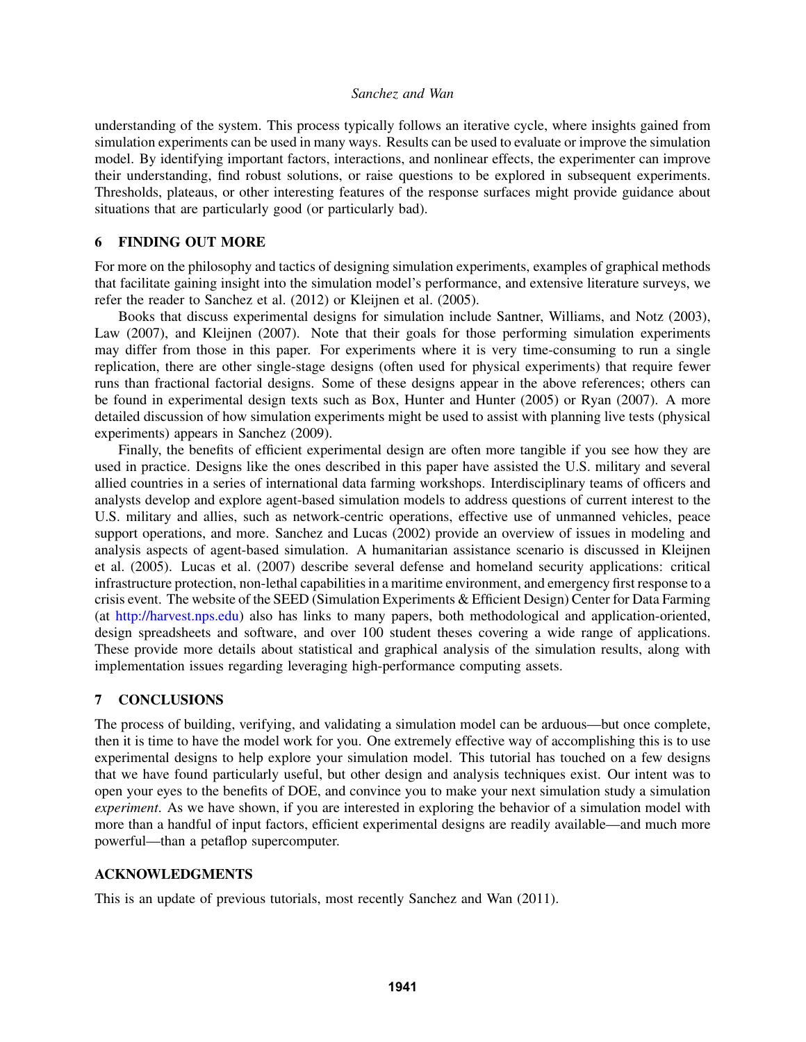understanding of the system. This process typically follows an iterative cycle, where insights gained from simulation experiments can be used in many ways. Results can be used to evaluate or improve the simulation model. By identifying important factors, interactions, and nonlinear effects, the experimenter can improve their understanding, find robust solutions, or raise questions to be explored in subsequent experiments. Thresholds, plateaus, or other interesting features of the response surfaces might provide guidance about situations that are particularly good (or particularly bad).

# 6 FINDING OUT MORE

For more on the philosophy and tactics of designing simulation experiments, examples of graphical methods that facilitate gaining insight into the simulation model's performance, and extensive literature surveys, we refer the reader to Sanchez et al. (2012) or Kleijnen et al. (2005).

Books that discuss experimental designs for simulation include Santner, Williams, and Notz (2003), Law (2007), and Kleijnen (2007). Note that their goals for those performing simulation experiments may differ from those in this paper. For experiments where it is very time-consuming to run a single replication, there are other single-stage designs (often used for physical experiments) that require fewer runs than fractional factorial designs. Some of these designs appear in the above references; others can be found in experimental design texts such as Box, Hunter and Hunter (2005) or Ryan (2007). A more detailed discussion of how simulation experiments might be used to assist with planning live tests (physical experiments) appears in Sanchez (2009).

Finally, the benefits of efficient experimental design are often more tangible if you see how they are used in practice. Designs like the ones described in this paper have assisted the U.S. military and several allied countries in a series of international data farming workshops. Interdisciplinary teams of officers and analysts develop and explore agent-based simulation models to address questions of current interest to the U.S. military and allies, such as network-centric operations, effective use of unmanned vehicles, peace support operations, and more. Sanchez and Lucas (2002) provide an overview of issues in modeling and analysis aspects of agent-based simulation. A humanitarian assistance scenario is discussed in Kleijnen et al. (2005). Lucas et al. (2007) describe several defense and homeland security applications: critical infrastructure protection, non-lethal capabilities in a maritime environment, and emergency first response to a crisis event. The website of the SEED (Simulation Experiments & Efficient Design) Center for Data Farming (at http://harvest.nps.edu) also has links to many papers, both methodological and application-oriented, design spreadsheets and software, and over 100 student theses covering a wide range of applications. These provide more details about statistical and graphical analysis of the simulation results, along with implementation issues regarding leveraging high-performance computing assets.

## 7 CONCLUSIONS

The process of building, verifying, and validating a simulation model can be arduous—but once complete, then it is time to have the model work for you. One extremely effective way of accomplishing this is to use experimental designs to help explore your simulation model. This tutorial has touched on a few designs that we have found particularly useful, but other design and analysis techniques exist. Our intent was to open your eyes to the benefits of DOE, and convince you to make your next simulation study a simulation *experiment*. As we have shown, if you are interested in exploring the behavior of a simulation model with more than a handful of input factors, efficient experimental designs are readily available—and much more powerful—than a petaflop supercomputer.

### ACKNOWLEDGMENTS

This is an update of previous tutorials, most recently Sanchez and Wan (2011).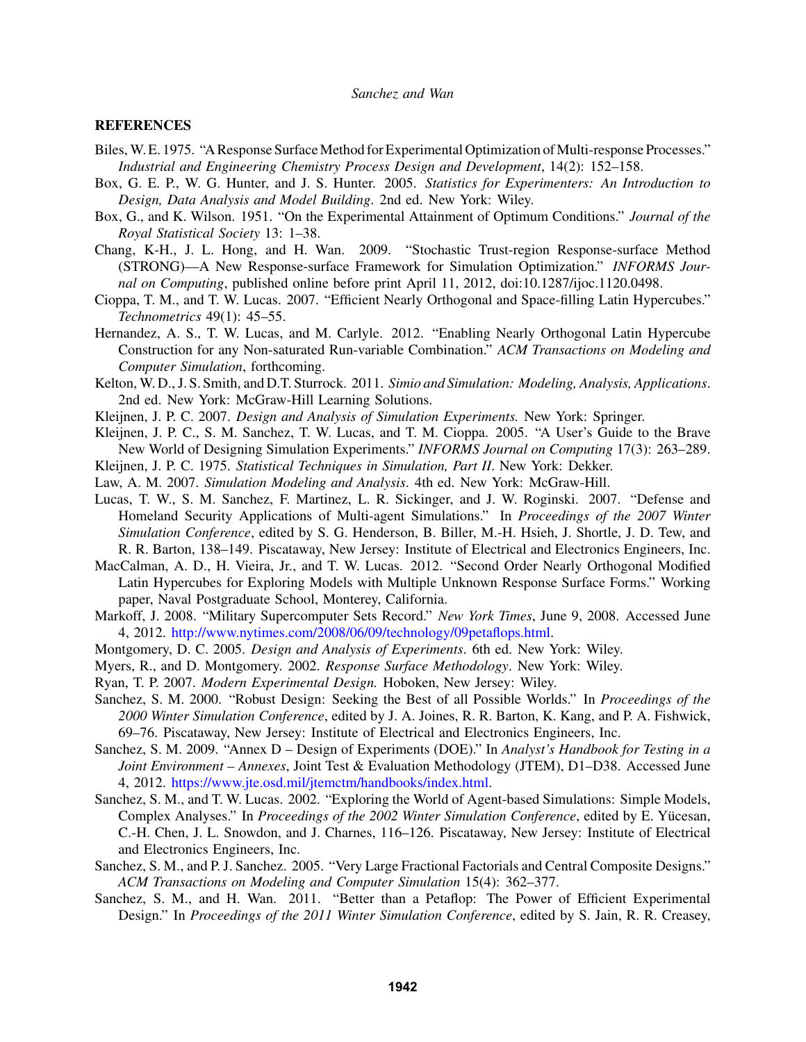#### **REFERENCES**

- Biles, W. E. 1975. "A Response Surface Method for Experimental Optimization of Multi-response Processes." *Industrial and Engineering Chemistry Process Design and Development*, 14(2): 152–158.
- Box, G. E. P., W. G. Hunter, and J. S. Hunter. 2005. *Statistics for Experimenters: An Introduction to Design, Data Analysis and Model Building*. 2nd ed. New York: Wiley.
- Box, G., and K. Wilson. 1951. "On the Experimental Attainment of Optimum Conditions." *Journal of the Royal Statistical Society* 13: 1–38.
- Chang, K-H., J. L. Hong, and H. Wan. 2009. "Stochastic Trust-region Response-surface Method (STRONG)—A New Response-surface Framework for Simulation Optimization." *INFORMS Journal on Computing*, published online before print April 11, 2012, doi:10.1287/ijoc.1120.0498.
- Cioppa, T. M., and T. W. Lucas. 2007. "Efficient Nearly Orthogonal and Space-filling Latin Hypercubes." *Technometrics* 49(1): 45–55.
- Hernandez, A. S., T. W. Lucas, and M. Carlyle. 2012. "Enabling Nearly Orthogonal Latin Hypercube Construction for any Non-saturated Run-variable Combination." *ACM Transactions on Modeling and Computer Simulation*, forthcoming.
- Kelton, W. D., J. S. Smith, and D.T. Sturrock. 2011. *Simio and Simulation: Modeling, Analysis, Applications*. 2nd ed. New York: McGraw-Hill Learning Solutions.
- Kleijnen, J. P. C. 2007. *Design and Analysis of Simulation Experiments.* New York: Springer.
- Kleijnen, J. P. C., S. M. Sanchez, T. W. Lucas, and T. M. Cioppa. 2005. "A User's Guide to the Brave New World of Designing Simulation Experiments." *INFORMS Journal on Computing* 17(3): 263–289.
- Kleijnen, J. P. C. 1975. *Statistical Techniques in Simulation, Part II*. New York: Dekker.
- Law, A. M. 2007. *Simulation Modeling and Analysis*. 4th ed. New York: McGraw-Hill.
- Lucas, T. W., S. M. Sanchez, F. Martinez, L. R. Sickinger, and J. W. Roginski. 2007. "Defense and Homeland Security Applications of Multi-agent Simulations." In *Proceedings of the 2007 Winter Simulation Conference*, edited by S. G. Henderson, B. Biller, M.-H. Hsieh, J. Shortle, J. D. Tew, and R. R. Barton, 138–149. Piscataway, New Jersey: Institute of Electrical and Electronics Engineers, Inc.
- MacCalman, A. D., H. Vieira, Jr., and T. W. Lucas. 2012. "Second Order Nearly Orthogonal Modified Latin Hypercubes for Exploring Models with Multiple Unknown Response Surface Forms." Working paper, Naval Postgraduate School, Monterey, California.
- Markoff, J. 2008. "Military Supercomputer Sets Record." *New York Times*, June 9, 2008. Accessed June 4, 2012. http://www.nytimes.com/2008/06/09/technology/09petaflops.html.
- Montgomery, D. C. 2005. *Design and Analysis of Experiments*. 6th ed. New York: Wiley.
- Myers, R., and D. Montgomery. 2002. *Response Surface Methodology*. New York: Wiley.
- Ryan, T. P. 2007. *Modern Experimental Design.* Hoboken, New Jersey: Wiley.
- Sanchez, S. M. 2000. "Robust Design: Seeking the Best of all Possible Worlds." In *Proceedings of the 2000 Winter Simulation Conference*, edited by J. A. Joines, R. R. Barton, K. Kang, and P. A. Fishwick, 69–76. Piscataway, New Jersey: Institute of Electrical and Electronics Engineers, Inc.
- Sanchez, S. M. 2009. "Annex D Design of Experiments (DOE)." In *Analyst's Handbook for Testing in a Joint Environment – Annexes*, Joint Test & Evaluation Methodology (JTEM), D1–D38. Accessed June 4, 2012. https://www.jte.osd.mil/jtemctm/handbooks/index.html.
- Sanchez, S. M., and T. W. Lucas. 2002. "Exploring the World of Agent-based Simulations: Simple Models, Complex Analyses." In *Proceedings of the 2002 Winter Simulation Conference*, edited by E. Yücesan, C.-H. Chen, J. L. Snowdon, and J. Charnes, 116–126. Piscataway, New Jersey: Institute of Electrical and Electronics Engineers, Inc.
- Sanchez, S. M., and P. J. Sanchez. 2005. "Very Large Fractional Factorials and Central Composite Designs." *ACM Transactions on Modeling and Computer Simulation* 15(4): 362–377.
- Sanchez, S. M., and H. Wan. 2011. "Better than a Petaflop: The Power of Efficient Experimental Design." In *Proceedings of the 2011 Winter Simulation Conference*, edited by S. Jain, R. R. Creasey,